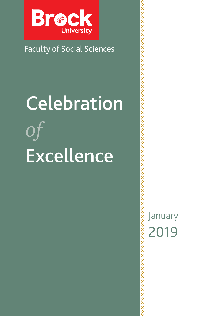

## Faculty of Social Sciences

# **Celebration** *of* Excellence

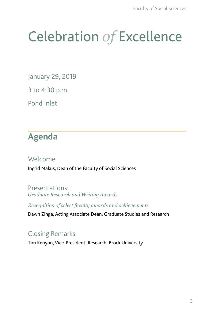# Celebration *of* Excellence

January 29, 2019

3 to 4:30 p.m.

Pond Inlet

# **Agenda**

#### Welcome

Ingrid Makus, Dean of the Faculty of Social Sciences

Presentations: *Graduate Research and Writing Awards* 

*Recognition of select faculty awards and achievements*

Dawn Zinga, Acting Associate Dean, Graduate Studies and Research

## Closing Remarks

Tim Kenyon, Vice-President, Research, Brock University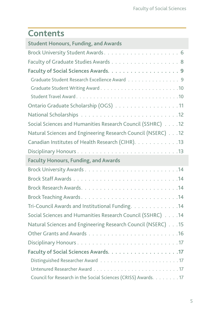# **Contents**

| <b>Student Honours, Funding, and Awards</b>                    |
|----------------------------------------------------------------|
|                                                                |
| Faculty of Graduate Studies Awards 8                           |
|                                                                |
| Graduate Student Research Excellence Award 9                   |
|                                                                |
|                                                                |
| Ontario Graduate Scholarship (OGS) 11                          |
|                                                                |
| Social Sciences and Humanities Research Council (SSHRC) 12     |
| Natural Sciences and Engineering Research Council (NSERC) 12   |
| Canadian Institutes of Health Research (CIHR). 13              |
|                                                                |
| <b>Faculty Honours, Funding, and Awards</b>                    |
|                                                                |
|                                                                |
|                                                                |
|                                                                |
| Tri-Council Awards and Institutional Funding. 14               |
| Social Sciences and Humanities Research Council (SSHRC) 14     |
| Natural Sciences and Engineering Research Council (NSERC) 15   |
|                                                                |
|                                                                |
|                                                                |
|                                                                |
|                                                                |
| Council for Research in the Social Sciences (CRISS) Awards. 17 |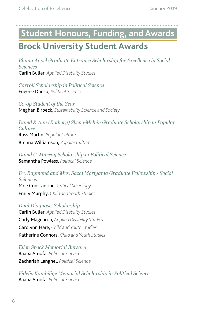# <span id="page-3-0"></span>**Student Honours, Funding, and Awards Brock University Student Awards**

*Bluma Appel Graduate Entrance Scholarship for Excellence in Social Sciences* Carlin Buller, *Applied Disability Studies*

*Carroll Scholarship in Political Science* Eugene Danso, *Political Science*

*Co-op Student of the Year* Meghan Birbeck, *Sustainability Science and Society*

*David & Ann (Rothery) Skene-Melvin Graduate Scholarship in Popular Culture* Russ Martin, *Popular Culture* Brenna Williamson, *Popular Culture*

*David C. Murray Scholarship in Political Science* Samantha Powless, *Political Science*

*Dr. Raymond and Mrs. Sachi Moriyama Graduate Fellowship - Social Sciences* Moe Constantine, *Critical Sociology* Emily Murphy, *Child and Youth Studies*

*Dual Diagnosis Scholarship* Carlin Buller, *Applied Disability Studies* Carly Magnacca, *Applied Disability Studies* Carolynn Hare, *Child and Youth Studies* Katherine Connors, *Child and Youth Studies*

*Ellen Speck Memorial Bursary* Baaba Amofa, *Political Science* Zechariah Langnel, *Political Science*

*Fidelis Kambilige Memorial Scholarship in Political Science* Baaba Amofa, *Political Science*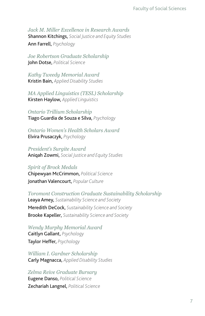*Jack M. Miller Excellence in Research Awards* Shannon Kitchings, *Social Justice and Equity Studies*

Ann Farrell, *Psychology*

*Joe Robertson Graduate Scholarship* John Dotse, *Political Science*

*Kathy Tweedy Memorial Award* Kristin Bain, *Applied Disability Studies*

*MA Applied Linguistics (TESL) Scholarship* Kirsten Haylow, *Applied Linguistics*

*Ontario Trillium Scholarship* Tiago Guardia de Souza e Silva, *Psychology*

*Ontario Women's Health Scholars Award* Elvira Prusaczyk, *Psychology*

*President's Surgite Award* Aniqah Zowmi, *Social Justice and Equity Studies*

#### *Spirit of Brock Medals*

Chipewyan McCrimmon, *Political Science* Jonathan Valencourt, *Popular Culture*

*Toromont Construction Graduate Sustainability Scholarship* Leaya Amey, *Sustainability Science and Society* Meredith DeCock, *Sustainability Science and Society* Brooke Kapeller, *Sustainability Science and Society*

*Wendy Murphy Memorial Award* Caitlyn Gallant, *Psychology* Taylor Heffer, *Psychology*

*William I. Gardner Scholarship* Carly Magnacca, *Applied Disability Studies*

*Zelma Reive Graduate Bursary* Eugene Danso, *Political Science* Zechariah Langnel, *Political Science*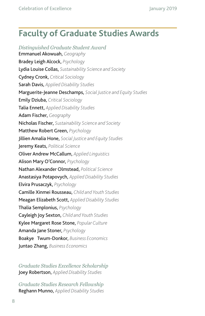## <span id="page-5-0"></span>**Faculty of Graduate Studies Awards**

*Distinguished Graduate Student Award* Emmanuel Akowuah, *Geography* Bradey Leigh Alcock, *Psychology* Lydia Louise Collas, *Sustainability Science and Society* Cydney Cronk, *Critical Sociology* Sarah Davis, *Applied Disability Studies* Marguerite-Jeanne Deschamps, *Social Justice and Equity Studies* Emily Dziuba, *Critical Sociology* Talia Ennett, *Applied Disability Studies* Adam Fischer, *Geography* Nicholas Fischer, *Sustainability Science and Society* Matthew Robert Green, *Psychology* Jillien Amalia Hone, *Social Justice and Equity Studies* Jeremy Keats, *Political Science* Oliver Andrew McCallum, *Applied Linguistics* Alison Mary O'Connor, *Psychology* Nathan Alexander Olmstead, *Political Science* Anastasiya Potapovych, *Applied Disability Studies* Elvira Prusaczyk, *Psychology* Camille Xinmei Rousseau, *Child and Youth Studies* Meagan Elizabeth Scott, *Applied Disability Studies* Thalia Semplonius, *Psychology* Cayleigh Joy Sexton, *Child and Youth Studies* Kylee Margaret Rose Stone, *Popular Culture* Amanda Jane Stoner, *Psychology* Boakye Twum-Donkor, *Business Economics* Juntao Zhang, *Business Economics*

*Graduate Studies Excellence Scholarship* Joey Robertson, *Applied Disability Studies*

*Graduate Studies Research Fellowship*  Reghann Munno, *Applied Disability Studies*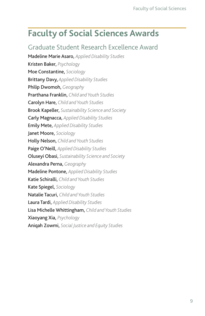# <span id="page-6-0"></span>**Faculty of Social Sciences Awards**

## Graduate Student Research Excellence Award

Madeline Marie Asaro, *Applied Disability Studies* Kristen Baker, *Psychology* Moe Constantine, *Sociology* Brittany Davy, *Applied Disability Studies* Philip Dwomoh, *Geography* Prarthana Franklin, *Child and Youth Studies* Carolyn Hare, *Child and Youth Studies* Brook Kapeller, *Sustainability Science and Society* Carly Magnacca, *Applied Disability Studies* Emily Mete, *Applied Disability Studies* Janet Moore, *Sociology* Holly Nelson, *Child and Youth Studies* Paige O'Neill, *Applied Disability Studies* Oluseyi Obasi, *Sustainability Science and Society* Alexandra Perna, *Geography* Madeline Pontone, *Applied Disability Studies* Katie Schiralli, *Child and Youth Studies* Kate Spiegel, *Sociology* Natalie Tacuri, *Child and Youth Studies* Laura Tardi, *Applied Disability Studies* Lisa Michelle Whittingham, *Child and Youth Studies* Xiaoyang Xia, *Psychology* Aniqah Zowmi, *Social Justice and Equity Studies*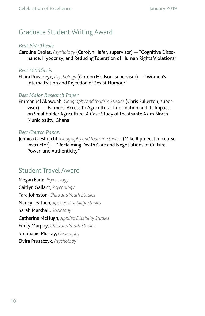## <span id="page-7-0"></span>Graduate Student Writing Award

#### *Best PhD Thesis*

Caroline Drolet, *Psychology* (Carolyn Hafer, supervisor) — "Cognitive Dissonance, Hypocrisy, and Reducing Toleration of Human Rights Violations"

#### *Best MA Thesis*

Elvira Prusaczyk, *Psychology* (Gordon Hodson, supervisor) — "Women's Internalization and Rejection of Sexist Humour"

#### *Best Major Research Paper*

Emmanuel Akowuah, *Geography and Tourism Studies* (Chris Fullerton, supervisor) — "Farmers' Access to Agricultural Information and its Impact on Smallholder Agriculture: A Case Study of the Asante Akim North Municipality, Ghana"

#### *Best Course Paper:*

Jennica Giesbrecht, *Geography and Tourism Studies*, (Mike Ripmeester, course instructor) — "Reclaiming Death Care and Negotiations of Culture, Power, and Authenticity"

#### Student Travel Award

Megan Earle, *Psychology* Caitlyn Gallant, *Psychology* Tara Johnston, *Child and Youth Studies* Nancy Leathen, *Applied Disability Studies* Sarah Marshall, *Sociology* Catherine McHugh, *Applied Disability Studies* Emily Murphy, *Child and Youth Studies* Stephanie Murray, *Geography* Elvira Prusaczyk, *Psychology*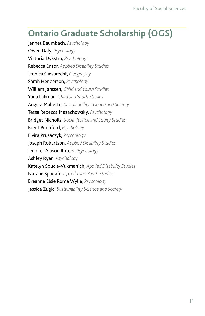## <span id="page-8-0"></span>**Ontario Graduate Scholarship (OGS)**

Jennet Baumbach, *Psychology* Owen Daly, *Psychology* Victoria Dykstra, *Psychology* Rebecca Ensor, *Applied Disability Studies* Jennica Giesbrecht, *Geography* Sarah Henderson, *Psychology* William Janssen, *Child and Youth Studies* Yana Lakman, *Child and Youth Studies* Angela Mallette, *Sustainability Science and Society* Tessa Rebecca Mazachowsky, *Psychology* Bridget Nicholls, *Social Justice and Equity Studies* Brent Pitchford, *Psychology* Elvira Prusaczyk, *Psychology* Joseph Robertson, *Applied Disability Studies* Jennifer Allison Roters, *Psychology* Ashley Ryan, *Psychology* Katelyn Soucie-Vukmanich, *Applied Disability Studies* Natalie Spadafora, *Child and Youth Studies* Breanne Elsie Roma Wylie, *Psychology* Jessica Zugic, *Sustainability Science and Society*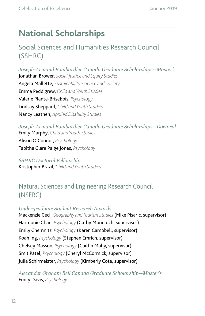# <span id="page-9-0"></span>**National Scholarships**

## Social Sciences and Humanities Research Council (SSHRC)

*Joseph-Armand Bombardier Canada Graduate Scholarships—Master's* Jonathan Brower, *Social Justice and Equity Studies* Angela Mallette, *Sustainability Science and Society* Emma Peddigrew, *Child and Youth Studies* Valerie Plante-Brisebois, *Psychology* Lindsay Sheppard, *Child and Youth Studies* Nancy Leathen, *Applied Disability Studies*

*Joseph-Armand Bombardier Canada Graduate Scholarships—Doctoral* Emily Murphy, *Child and Youth Studies* Alison O'Connor, *Psychology* Tabitha Clare Paige Jones, *Psychology*

*SSHRC Doctoral Fellowship*  Kristopher Brazil, *Child and Youth Studies*

## Natural Sciences and Engineering Research Council (NSERC)

*Undergraduate Student Research Awards* Mackenzie Ceci, *Geography and Tourism Studies* (Mike Pisaric, supervisor) Harmonie Chan, *Psychology* (Cathy Mondloch, supervisor) Emily Chemnitz, *Psychology* (Karen Campbell, supervisor) Koah Ing, *Psychology* (Stephen Emrich, supervisor) Chelsey Masson, *Psychology* (Caitlin Mahy, supervisor) Smit Patel, *Psychology* (Cheryl McCormick, supervisor) Julia Schirmeister, *Psychology* (Kimberly Cote, supervisor)

*Alexander Graham Bell Canada Graduate Scholarship—Master's* Emily Davis, *Psychology*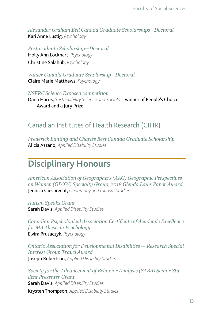<span id="page-10-0"></span>*Alexander Graham Bell Canada Graduate Scholarships—Doctoral* Kari Anne Lustig, *Psychology*

*Postgraduate Scholarship—Doctoral* Holly Ann Lockhart, *Psychology* Christine Salahub, *Psychology*

*Vanier Canada Graduate Scholarship—Doctoral* Claire Marie Matthews, *Psychology*

*NSERC Science Exposed competition* Dana Harris, *Sustainability Science and Society* – winner of People's Choice Award and a Jury Prize

## Canadian Institutes of Health Research (CIHR)

*Frederick Banting and Charles Best Canada Graduate Scholarship* Alicia Azzano, *Applied Disability Studies*

## **Disciplinary Honours**

*American Association of Geographers (AAG) Geographic Perspectives on Women (GPOW) Specialty Group, 2018 Glenda Laws Paper Award* Jennica Giesbrecht, *Geography and Tourism Studies*

*Autism Speaks Grant* Sarah Davis, *Applied Disability Studies*

*Canadian Psychological Association Certifcate of Academic Excellence for MA Thesis in Psychology* Elvira Prusaczyk, *Psychology*

*Ontario Association for Developmental Disabilities — Research Special Interest Group Travel Award* Joseph Robertson, *Applied Disability Studies*

*Society for the Advancement of Behavior Analysis (SABA) Senior Student Presenter Grant* Sarah Davis, *Applied Disability Studies* Krysten Thompson, *Applied Disability Studies*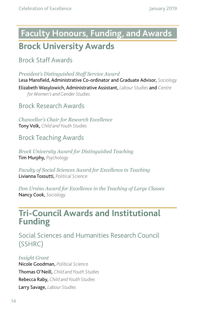# <span id="page-11-0"></span>**Faculty Honours, Funding, and Awards Brock University Awards**

Brock Staff Awards

*President's Distinguished Staf Service Award*

Lesa Mansfield, Administrative Co-ordinator and Graduate Advisor, *Sociology* Elizabeth Wasylowich, Administrative Assistant, *Labour Studies* and *Centre for Women's and Gender Studies*

Brock Research Awards

*Chancellor's Chair for Research Excellence* Tony Volk, *Child and Youth Studies*

## Brock Teaching Awards

*Brock University Award for Distinguished Teaching* Tim Murphy, *Psychology*

*Faculty of Social Sciences Award for Excellence in Teaching* Livianna Tossutti, *Political Science*

*Don Ursino Award for Excellence in the Teaching of Large Classes* Nancy Cook, *Sociology*

## **Tri-Council Awards and Institutional Funding**

Social Sciences and Humanities Research Council (SSHRC)

*Insight Grant*  Nicole Goodman, *Political Science* Thomas O'Neill, *Child and Youth Studies* Rebecca Raby, *Child and Youth Studies* Larry Savage, *Labour Studies*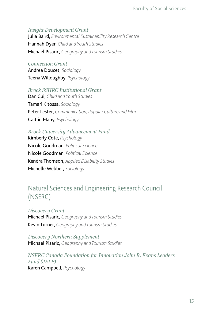#### <span id="page-12-0"></span>*Insight Development Grant*

Julia Baird, *Environmental Sustainability Research Centre* Hannah Dyer, *Child and Youth Studies* Michael Pisaric, *Geography and Tourism Studies*

#### *Connection Grant*

Andrea Doucet, *Sociology* Teena Willoughby, *Psychology*

#### *Brock SSHRC Institutional Grant*

Dan Cui, *Child and Youth Studies* Tamari Kitossa, *Sociology* Peter Lester, *Communication, Popular Culture and Film* Caitlin Mahy, *Psychology*

#### *Brock University Advancement Fund*

Kimberly Cote, *Psychology* Nicole Goodman, *Political Science* Nicole Goodman, *Political Science* Kendra Thomson, *Applied Disability Studies* Michelle Webber, *Sociology*

## Natural Sciences and Engineering Research Council (NSERC)

*Discovery Grant* Michael Pisaric, *Geography and Tourism Studies* Kevin Turner, *Geography and Tourism Studies*

*Discovery Northern Supplement* Michael Pisaric, *Geography and Tourism Studies*

*NSERC Canada Foundation for Innovation John R. Evans Leaders Fund (JELF)* Karen Campbell, *Psychology*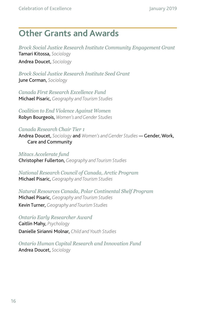## <span id="page-13-0"></span>**Other Grants and Awards**

*Brock Social Justice Research Institute Community Engagement Grant* Tamari Kitossa, *Sociology* Andrea Doucet, *Sociology*

*Brock Social Justice Research Institute Seed Grant* June Corman, *Sociology*

*Canada First Research Excellence Fund* Michael Pisaric, *Geography and Tourism Studies*

*Coalition to End Violence Against Women* Robyn Bourgeois, *Women's and Gender Studies*

*Canada Research Chair Tier 1* Andrea Doucet, *Sociology* and *Women's and Gender Studies* — Gender, Work, Care and Community

*Mitacs Accelerate fund* Christopher Fullerton, *Geography and Tourism Studies*

*National Research Council of Canada, Arctic Program* Michael Pisaric, *Geography and Tourism Studies*

*Natural Resources Canada, Polar Continental Shelf Program* Michael Pisaric, *Geography and Tourism Studies* Kevin Turner, *Geography and Tourism Studies*

*Ontario Early Researcher Award* Caitlin Mahy, *Psychology* Danielle Sirianni Molnar, *Child and Youth Studies*

*Ontario Human Capital Research and Innovation Fund* Andrea Doucet, *Sociology*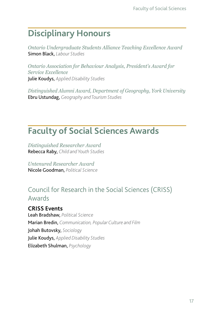# <span id="page-14-0"></span>**Disciplinary Honours**

*Ontario Undergraduate Students Alliance Teaching Excellence Award*  Simon Black, *Labour Studies*

*Ontario Association for Behaviour Analysis, President's Award for Service Excellence* Julie Koudys, *Applied Disability Studies*

*Distinguished Alumni Award, Department of Geography, York University* Ebru Ustundag, *Geography and Tourism Studies*

# **Faculty of Social Sciences Awards**

*Distinguished Researcher Award* Rebecca Raby, *Child and Youth Studies*

*Untenured Researcher Award* Nicole Goodman, *Political Science*

## Council for Research in the Social Sciences (CRISS) Awards

**CRISS Events** Leah Bradshaw, *Political Science* Marian Bredin, *Communication, Popular Culture and Film* Johah Butovsky, *Sociology* Julie Koudys, *Applied Disability Studies* Elizabeth Shulman, *Psychology*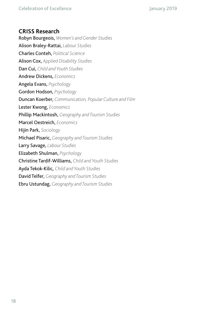#### **CRISS Research**

Robyn Bourgeois, *Women's and Gender Studies* Alison Braley-Rattai, *Labour Studies* Charles Conteh, *Political Science* Alison Cox, *Applied Disability Studies* Dan Cui, *Child and Youth Studies* Andrew Dickens, *Economics* Angela Evans, *Psychology* Gordon Hodson, *Psychology* Duncan Koerber, *Communication, Popular Culture and Film* Lester Kwong, *Economics* Phillip Mackintosh, *Geography and Tourism Studies* Marcel Oestreich, *Economics* Hijin Park, *Sociology* Michael Pisaric, *Geography and Tourism Studies*  Larry Savage, *Labour Studies* Elizabeth Shulman, *Psychology* Christine Tardif-Williams, *Child and Youth Studies* Ayda Tekok-Kilic, *Child and Youth Studies* David Telfer, *Geography and Tourism Studies* Ebru Ustundag, *Geography and Tourism Studies*